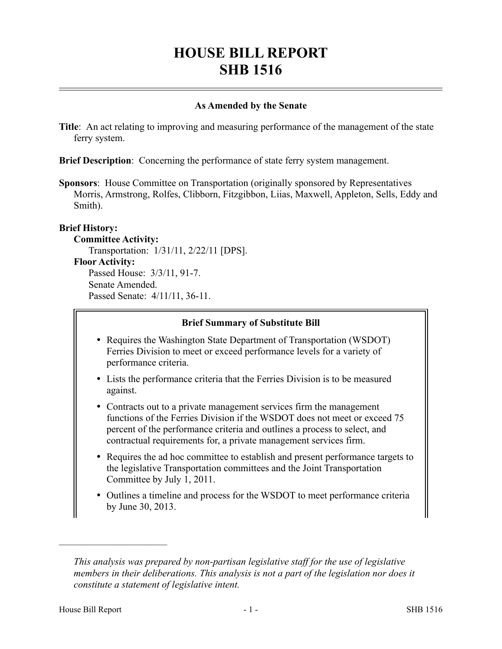# **HOUSE BILL REPORT SHB 1516**

## **As Amended by the Senate**

**Title**: An act relating to improving and measuring performance of the management of the state ferry system.

**Brief Description**: Concerning the performance of state ferry system management.

**Sponsors**: House Committee on Transportation (originally sponsored by Representatives Morris, Armstrong, Rolfes, Clibborn, Fitzgibbon, Liias, Maxwell, Appleton, Sells, Eddy and Smith).

# **Brief History:**

**Committee Activity:**

Transportation: 1/31/11, 2/22/11 [DPS].

#### **Floor Activity:**

Passed House: 3/3/11, 91-7. Senate Amended. Passed Senate: 4/11/11, 36-11.

#### **Brief Summary of Substitute Bill**

- Requires the Washington State Department of Transportation (WSDOT) Ferries Division to meet or exceed performance levels for a variety of performance criteria.
- Lists the performance criteria that the Ferries Division is to be measured against.
- Contracts out to a private management services firm the management functions of the Ferries Division if the WSDOT does not meet or exceed 75 percent of the performance criteria and outlines a process to select, and contractual requirements for, a private management services firm.
- Requires the ad hoc committee to establish and present performance targets to the legislative Transportation committees and the Joint Transportation Committee by July 1, 2011.
- Outlines a timeline and process for the WSDOT to meet performance criteria by June 30, 2013.

––––––––––––––––––––––

*This analysis was prepared by non-partisan legislative staff for the use of legislative members in their deliberations. This analysis is not a part of the legislation nor does it constitute a statement of legislative intent.*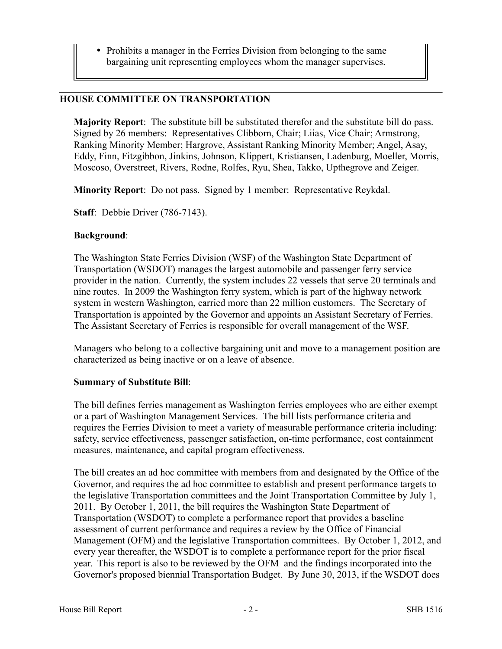• Prohibits a manager in the Ferries Division from belonging to the same bargaining unit representing employees whom the manager supervises.

#### **HOUSE COMMITTEE ON TRANSPORTATION**

**Majority Report**: The substitute bill be substituted therefor and the substitute bill do pass. Signed by 26 members: Representatives Clibborn, Chair; Liias, Vice Chair; Armstrong, Ranking Minority Member; Hargrove, Assistant Ranking Minority Member; Angel, Asay, Eddy, Finn, Fitzgibbon, Jinkins, Johnson, Klippert, Kristiansen, Ladenburg, Moeller, Morris, Moscoso, Overstreet, Rivers, Rodne, Rolfes, Ryu, Shea, Takko, Upthegrove and Zeiger.

**Minority Report**: Do not pass. Signed by 1 member: Representative Reykdal.

**Staff**: Debbie Driver (786-7143).

#### **Background**:

The Washington State Ferries Division (WSF) of the Washington State Department of Transportation (WSDOT) manages the largest automobile and passenger ferry service provider in the nation. Currently, the system includes 22 vessels that serve 20 terminals and nine routes. In 2009 the Washington ferry system, which is part of the highway network system in western Washington, carried more than 22 million customers. The Secretary of Transportation is appointed by the Governor and appoints an Assistant Secretary of Ferries. The Assistant Secretary of Ferries is responsible for overall management of the WSF.

Managers who belong to a collective bargaining unit and move to a management position are characterized as being inactive or on a leave of absence.

#### **Summary of Substitute Bill**:

The bill defines ferries management as Washington ferries employees who are either exempt or a part of Washington Management Services. The bill lists performance criteria and requires the Ferries Division to meet a variety of measurable performance criteria including: safety, service effectiveness, passenger satisfaction, on-time performance, cost containment measures, maintenance, and capital program effectiveness.

The bill creates an ad hoc committee with members from and designated by the Office of the Governor, and requires the ad hoc committee to establish and present performance targets to the legislative Transportation committees and the Joint Transportation Committee by July 1, 2011. By October 1, 2011, the bill requires the Washington State Department of Transportation (WSDOT) to complete a performance report that provides a baseline assessment of current performance and requires a review by the Office of Financial Management (OFM) and the legislative Transportation committees. By October 1, 2012, and every year thereafter, the WSDOT is to complete a performance report for the prior fiscal year. This report is also to be reviewed by the OFM and the findings incorporated into the Governor's proposed biennial Transportation Budget. By June 30, 2013, if the WSDOT does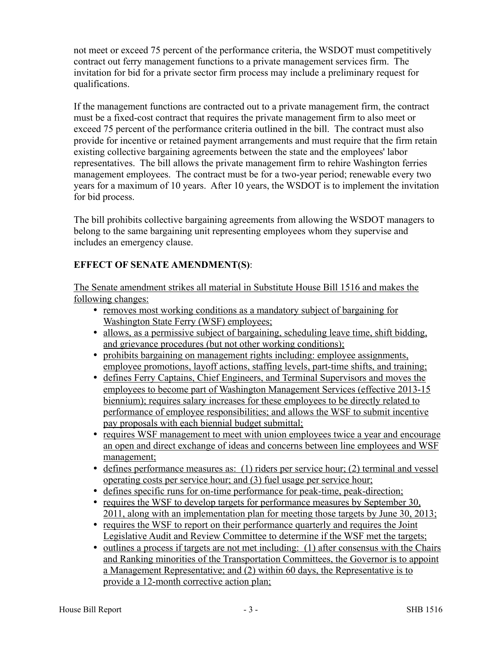not meet or exceed 75 percent of the performance criteria, the WSDOT must competitively contract out ferry management functions to a private management services firm. The invitation for bid for a private sector firm process may include a preliminary request for qualifications.

If the management functions are contracted out to a private management firm, the contract must be a fixed-cost contract that requires the private management firm to also meet or exceed 75 percent of the performance criteria outlined in the bill. The contract must also provide for incentive or retained payment arrangements and must require that the firm retain existing collective bargaining agreements between the state and the employees' labor representatives. The bill allows the private management firm to rehire Washington ferries management employees. The contract must be for a two-year period; renewable every two years for a maximum of 10 years. After 10 years, the WSDOT is to implement the invitation for bid process.

The bill prohibits collective bargaining agreements from allowing the WSDOT managers to belong to the same bargaining unit representing employees whom they supervise and includes an emergency clause.

# **EFFECT OF SENATE AMENDMENT(S)**:

The Senate amendment strikes all material in Substitute House Bill 1516 and makes the following changes:

- removes most working conditions as a mandatory subject of bargaining for Washington State Ferry (WSF) employees;
- allows, as a permissive subject of bargaining, scheduling leave time, shift bidding, and grievance procedures (but not other working conditions);
- prohibits bargaining on management rights including: employee assignments, employee promotions, layoff actions, staffing levels, part-time shifts, and training;
- defines Ferry Captains, Chief Engineers, and Terminal Supervisors and moves the employees to become part of Washington Management Services (effective 2013-15 biennium); requires salary increases for these employees to be directly related to performance of employee responsibilities; and allows the WSF to submit incentive pay proposals with each biennial budget submittal;
- requires WSF management to meet with union employees twice a year and encourage an open and direct exchange of ideas and concerns between line employees and WSF management;
- defines performance measures as: (1) riders per service hour; (2) terminal and vessel operating costs per service hour; and (3) fuel usage per service hour;
- defines specific runs for on-time performance for peak-time, peak-direction;
- requires the WSF to develop targets for performance measures by September 30, 2011, along with an implementation plan for meeting those targets by June 30, 2013;
- requires the WSF to report on their performance quarterly and requires the Joint Legislative Audit and Review Committee to determine if the WSF met the targets;
- outlines a process if targets are not met including: (1) after consensus with the Chairs and Ranking minorities of the Transportation Committees, the Governor is to appoint a Management Representative; and (2) within 60 days, the Representative is to provide a 12-month corrective action plan;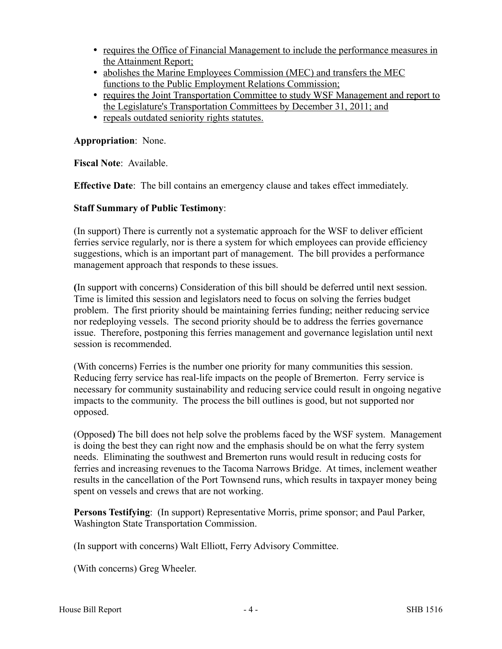- requires the Office of Financial Management to include the performance measures in the Attainment Report;
- abolishes the Marine Employees Commission (MEC) and transfers the MEC functions to the Public Employment Relations Commission;
- requires the Joint Transportation Committee to study WSF Management and report to the Legislature's Transportation Committees by December 31, 2011; and
- repeals outdated seniority rights statutes.

**Appropriation**: None.

**Fiscal Note**: Available.

**Effective Date**: The bill contains an emergency clause and takes effect immediately.

### **Staff Summary of Public Testimony**:

(In support) There is currently not a systematic approach for the WSF to deliver efficient ferries service regularly, nor is there a system for which employees can provide efficiency suggestions, which is an important part of management. The bill provides a performance management approach that responds to these issues.

**(**In support with concerns) Consideration of this bill should be deferred until next session. Time is limited this session and legislators need to focus on solving the ferries budget problem. The first priority should be maintaining ferries funding; neither reducing service nor redeploying vessels. The second priority should be to address the ferries governance issue. Therefore, postponing this ferries management and governance legislation until next session is recommended.

(With concerns) Ferries is the number one priority for many communities this session. Reducing ferry service has real-life impacts on the people of Bremerton. Ferry service is necessary for community sustainability and reducing service could result in ongoing negative impacts to the community. The process the bill outlines is good, but not supported nor opposed.

(Opposed**)** The bill does not help solve the problems faced by the WSF system. Management is doing the best they can right now and the emphasis should be on what the ferry system needs. Eliminating the southwest and Bremerton runs would result in reducing costs for ferries and increasing revenues to the Tacoma Narrows Bridge. At times, inclement weather results in the cancellation of the Port Townsend runs, which results in taxpayer money being spent on vessels and crews that are not working.

**Persons Testifying**: (In support) Representative Morris, prime sponsor; and Paul Parker, Washington State Transportation Commission.

(In support with concerns) Walt Elliott, Ferry Advisory Committee.

(With concerns) Greg Wheeler.